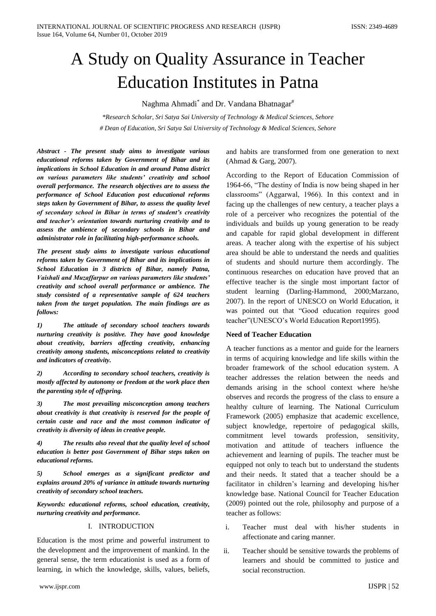# A Study on Quality Assurance in Teacher Education Institutes in Patna

Naghma Ahmadi $^*$  and Dr. Vandana Bhatnagar $^{\#}$ 

*\*Research Scholar, Sri Satya Sai University of Technology & Medical Sciences, Sehore # Dean of Education, Sri Satya Sai University of Technology & Medical Sciences, Sehore*

*Abstract - The present study aims to investigate various educational reforms taken by Government of Bihar and its implications in School Education in and around Patna district on various parameters like students' creativity and school overall performance. The research objectives are to assess the performance of School Education post educational reforms steps taken by Government of Bihar, to assess the quality level of secondary school in Bihar in terms of student's creativity and teacher's orientation towards nurturing creativity and to assess the ambience of secondary schools in Bihar and administrator role in facilitating high-performance schools.*

*The present study aims to investigate various educational reforms taken by Government of Bihar and its implications in School Education in 3 districts of Bihar, namely Patna, Vaishali and Muzaffarpur on various parameters like students' creativity and school overall performance or ambience. The study consisted of a representative sample of 624 teachers taken from the target population. The main findings are as follows:*

*1) The attitude of secondary school teachers towards nurturing creativity is positive. They have good knowledge about creativity, barriers affecting creativity, enhancing creativity among students, misconceptions related to creativity and indicators of creativity.*

*2) According to secondary school teachers, creativity is mostly affected by autonomy or freedom at the work place then the parenting style of offspring.*

*3) The most prevailing misconception among teachers about creativity is that creativity is reserved for the people of certain caste and race and the most common indicator of creativity is diversity of ideas in creative people.*

*4) The results also reveal that the quality level of school education is better post Government of Bihar steps taken on educational reforms.*

*5) School emerges as a significant predictor and explains around 20% of variance in attitude towards nurturing creativity of secondary school teachers.*

*Keywords: educational reforms, school education, creativity, nurturing creativity and performance.*

## I. INTRODUCTION

Education is the most prime and powerful instrument to the development and the improvement of mankind. In the general sense, the term educationist is used as a form of learning, in which the knowledge, skills, values, beliefs,

and habits are transformed from one generation to next (Ahmad & Garg, 2007).

According to the Report of Education Commission of 1964-66, "The destiny of India is now being shaped in her classrooms" (Aggarwal, 1966). In this context and in facing up the challenges of new century, a teacher plays a role of a perceiver who recognizes the potential of the individuals and builds up young generation to be ready and capable for rapid global development in different areas. A teacher along with the expertise of his subject area should be able to understand the needs and qualities of students and should nurture them accordingly. The continuous researches on education have proved that an effective teacher is the single most important factor of student learning (Darling-Hammond, 2000;Marzano, 2007). In the report of UNESCO on World Education, it was pointed out that "Good education requires good teacher"(UNESCO's World Education Report1995).

#### **Need of Teacher Education**

A teacher functions as a mentor and guide for the learners in terms of acquiring knowledge and life skills within the broader framework of the school education system. A teacher addresses the relation between the needs and demands arising in the school context where he/she observes and records the progress of the class to ensure a healthy culture of learning. The National Curriculum Framework (2005) emphasize that academic excellence, subject knowledge, repertoire of pedagogical skills, commitment level towards profession, sensitivity, motivation and attitude of teachers influence the achievement and learning of pupils. The teacher must be equipped not only to teach but to understand the students and their needs. It stated that a teacher should be a facilitator in children's learning and developing his/her knowledge base. National Council for Teacher Education (2009) pointed out the role, philosophy and purpose of a teacher as follows:

- i. Teacher must deal with his/her students in affectionate and caring manner.
- ii. Teacher should be sensitive towards the problems of learners and should be committed to justice and social reconstruction.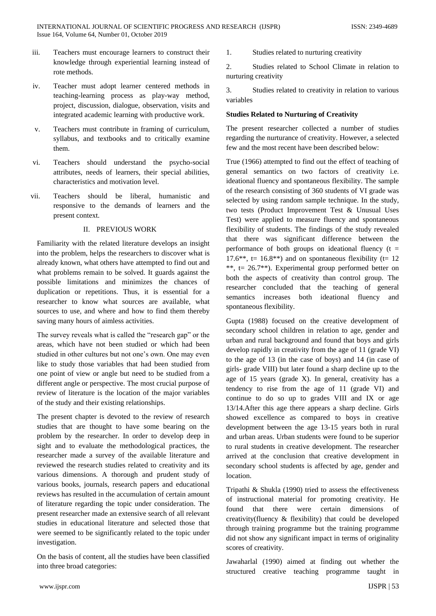- iii. Teachers must encourage learners to construct their knowledge through experiential learning instead of rote methods.
- iv. Teacher must adopt learner centered methods in teaching-learning process as play-way method, project, discussion, dialogue, observation, visits and integrated academic learning with productive work.
- v. Teachers must contribute in framing of curriculum, syllabus, and textbooks and to critically examine them.
- vi. Teachers should understand the psycho-social attributes, needs of learners, their special abilities, characteristics and motivation level.
- vii. Teachers should be liberal, humanistic and responsive to the demands of learners and the present context.

# II. PREVIOUS WORK

Familiarity with the related literature develops an insight into the problem, helps the researchers to discover what is already known, what others have attempted to find out and what problems remain to be solved. It guards against the possible limitations and minimizes the chances of duplication or repetitions. Thus, it is essential for a researcher to know what sources are available, what sources to use, and where and how to find them thereby saving many hours of aimless activities.

The survey reveals what is called the "research gap" or the areas, which have not been studied or which had been studied in other cultures but not one's own. One may even like to study those variables that had been studied from one point of view or angle but need to be studied from a different angle or perspective. The most crucial purpose of review of literature is the location of the major variables of the study and their existing relationships.

The present chapter is devoted to the review of research studies that are thought to have some bearing on the problem by the researcher. In order to develop deep in sight and to evaluate the methodological practices, the researcher made a survey of the available literature and reviewed the research studies related to creativity and its various dimensions. A thorough and prudent study of various books, journals, research papers and educational reviews has resulted in the accumulation of certain amount of literature regarding the topic under consideration. The present researcher made an extensive search of all relevant studies in educational literature and selected those that were seemed to be significantly related to the topic under investigation.

On the basis of content, all the studies have been classified into three broad categories:

1. Studies related to nurturing creativity

2. Studies related to School Climate in relation to nurturing creativity

3. Studies related to creativity in relation to various variables

# **Studies Related to Nurturing of Creativity**

The present researcher collected a number of studies regarding the nurturance of creativity. However, a selected few and the most recent have been described below:

True (1966) attempted to find out the effect of teaching of general semantics on two factors of creativity i.e. ideational fluency and spontaneous flexibility. The sample of the research consisting of 360 students of VI grade was selected by using random sample technique. In the study, two tests (Product Improvement Test & Unusual Uses Test) were applied to measure fluency and spontaneous flexibility of students. The findings of the study revealed that there was significant difference between the performance of both groups on ideational fluency  $(t =$  $17.6^{**}$ , t=  $16.8^{**}$ ) and on spontaneous flexibility (t= 12) \*\*,  $t = 26.7$ \*\*). Experimental group performed better on both the aspects of creativity than control group. The researcher concluded that the teaching of general semantics increases both ideational fluency and spontaneous flexibility.

Gupta (1988) focused on the creative development of secondary school children in relation to age, gender and urban and rural background and found that boys and girls develop rapidly in creativity from the age of 11 (grade VI) to the age of 13 (in the case of boys) and 14 (in case of girls- grade VIII) but later found a sharp decline up to the age of 15 years (grade X). In general, creativity has a tendency to rise from the age of 11 (grade VI) and continue to do so up to grades VIII and IX or age 13/14.After this age there appears a sharp decline. Girls showed excellence as compared to boys in creative development between the age 13-15 years both in rural and urban areas. Urban students were found to be superior to rural students in creative development. The researcher arrived at the conclusion that creative development in secondary school students is affected by age, gender and location.

Tripathi & Shukla (1990) tried to assess the effectiveness of instructional material for promoting creativity. He found that there were certain dimensions of creativity(fluency & flexibility) that could be developed through training programme but the training programme did not show any significant impact in terms of originality scores of creativity.

Jawaharlal (1990) aimed at finding out whether the structured creative teaching programme taught in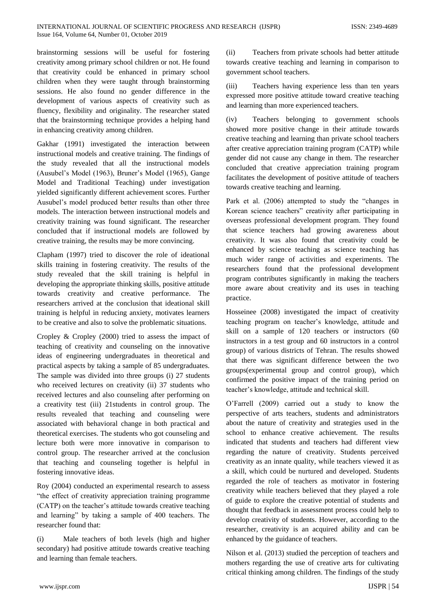brainstorming sessions will be useful for fostering creativity among primary school children or not. He found that creativity could be enhanced in primary school children when they were taught through brainstorming sessions. He also found no gender difference in the development of various aspects of creativity such as fluency, flexibility and originality. The researcher stated that the brainstorming technique provides a helping hand in enhancing creativity among children.

Gakhar (1991) investigated the interaction between instructional models and creative training. The findings of the study revealed that all the instructional models (Ausubel's Model (1963), Bruner's Model (1965), Gange Model and Traditional Teaching) under investigation yielded significantly different achievement scores. Further Ausubel's model produced better results than other three models. The interaction between instructional models and creativity training was found significant. The researcher concluded that if instructional models are followed by creative training, the results may be more convincing.

Clapham (1997) tried to discover the role of ideational skills training in fostering creativity. The results of the study revealed that the skill training is helpful in developing the appropriate thinking skills, positive attitude towards creativity and creative performance. The researchers arrived at the conclusion that ideational skill training is helpful in reducing anxiety, motivates learners to be creative and also to solve the problematic situations.

Cropley & Cropley (2000) tried to assess the impact of teaching of creativity and counseling on the innovative ideas of engineering undergraduates in theoretical and practical aspects by taking a sample of 85 undergraduates. The sample was divided into three groups (i) 27 students who received lectures on creativity (ii) 37 students who received lectures and also counseling after performing on a creativity test (iii) 21students in control group. The results revealed that teaching and counseling were associated with behavioral change in both practical and theoretical exercises. The students who got counseling and lecture both were more innovative in comparison to control group. The researcher arrived at the conclusion that teaching and counseling together is helpful in fostering innovative ideas.

Roy (2004) conducted an experimental research to assess "the effect of creativity appreciation training programme (CATP) on the teacher's attitude towards creative teaching and learning" by taking a sample of 400 teachers. The researcher found that:

(i) Male teachers of both levels (high and higher secondary) had positive attitude towards creative teaching and learning than female teachers.

(ii) Teachers from private schools had better attitude towards creative teaching and learning in comparison to government school teachers.

(iii) Teachers having experience less than ten years expressed more positive attitude toward creative teaching and learning than more experienced teachers.

(iv) Teachers belonging to government schools showed more positive change in their attitude towards creative teaching and learning than private school teachers after creative appreciation training program (CATP) while gender did not cause any change in them. The researcher concluded that creative appreciation training program facilitates the development of positive attitude of teachers towards creative teaching and learning.

Park et al. (2006) attempted to study the "changes in Korean science teachers" creativity after participating in overseas professional development program. They found that science teachers had growing awareness about creativity. It was also found that creativity could be enhanced by science teaching as science teaching has much wider range of activities and experiments. The researchers found that the professional development program contributes significantly in making the teachers more aware about creativity and its uses in teaching practice.

Hosseinee (2008) investigated the impact of creativity teaching program on teacher's knowledge, attitude and skill on a sample of 120 teachers or instructors (60 instructors in a test group and 60 instructors in a control group) of various districts of Tehran. The results showed that there was significant difference between the two groups(experimental group and control group), which confirmed the positive impact of the training period on teacher's knowledge, attitude and technical skill.

O'Farrell (2009) carried out a study to know the perspective of arts teachers, students and administrators about the nature of creativity and strategies used in the school to enhance creative achievement. The results indicated that students and teachers had different view regarding the nature of creativity. Students perceived creativity as an innate quality, while teachers viewed it as a skill, which could be nurtured and developed. Students regarded the role of teachers as motivator in fostering creativity while teachers believed that they played a role of guide to explore the creative potential of students and thought that feedback in assessment process could help to develop creativity of students. However, according to the researcher, creativity is an acquired ability and can be enhanced by the guidance of teachers.

Nilson et al. (2013) studied the perception of teachers and mothers regarding the use of creative arts for cultivating critical thinking among children. The findings of the study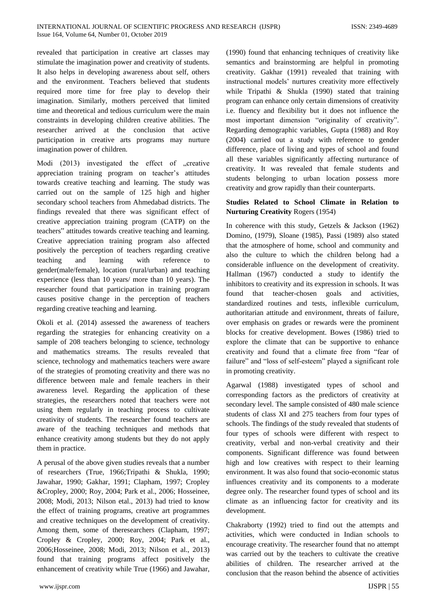revealed that participation in creative art classes may stimulate the imagination power and creativity of students. It also helps in developing awareness about self, others and the environment. Teachers believed that students required more time for free play to develop their imagination. Similarly, mothers perceived that limited time and theoretical and tedious curriculum were the main constraints in developing children creative abilities. The researcher arrived at the conclusion that active participation in creative arts programs may nurture imagination power of children.

Modi  $(2013)$  investigated the effect of  $\alpha$  creative appreciation training program on teacher's attitudes towards creative teaching and learning. The study was carried out on the sample of 125 high and higher secondary school teachers from Ahmedabad districts. The findings revealed that there was significant effect of creative appreciation training program (CATP) on the teachers" attitudes towards creative teaching and learning. Creative appreciation training program also affected positively the perception of teachers regarding creative teaching and learning with reference to gender(male/female), location (rural/urban) and teaching experience (less than 10 years/ more than 10 years). The researcher found that participation in training program causes positive change in the perception of teachers regarding creative teaching and learning.

Okoli et al. (2014) assessed the awareness of teachers regarding the strategies for enhancing creativity on a sample of 208 teachers belonging to science, technology and mathematics streams. The results revealed that science, technology and mathematics teachers were aware of the strategies of promoting creativity and there was no difference between male and female teachers in their awareness level. Regarding the application of these strategies, the researchers noted that teachers were not using them regularly in teaching process to cultivate creativity of students. The researcher found teachers are aware of the teaching techniques and methods that enhance creativity among students but they do not apply them in practice.

A perusal of the above given studies reveals that a number of researchers (True, 1966;Tripathi & Shukla, 1990; Jawahar, 1990; Gakhar, 1991; Clapham, 1997; Cropley &Cropley, 2000; Roy, 2004; Park et al., 2006; Hosseinee, 2008; Modi, 2013; Nilson etal., 2013) had tried to know the effect of training programs, creative art programmes and creative techniques on the development of creativity. Among them, some of theresearchers (Clapham, 1997; Cropley & Cropley, 2000; Roy, 2004; Park et al., 2006;Hosseinee, 2008; Modi, 2013; Nilson et al., 2013) found that training programs affect positively the enhancement of creativity while True (1966) and Jawahar, (1990) found that enhancing techniques of creativity like semantics and brainstorming are helpful in promoting creativity. Gakhar (1991) revealed that training with instructional models' nurtures creativity more effectively while Tripathi & Shukla (1990) stated that training program can enhance only certain dimensions of creativity i.e. fluency and flexibility but it does not influence the most important dimension "originality of creativity". Regarding demographic variables, Gupta (1988) and Roy (2004) carried out a study with reference to gender difference, place of living and types of school and found all these variables significantly affecting nurturance of creativity. It was revealed that female students and students belonging to urban location possess more creativity and grow rapidly than their counterparts.

# **Studies Related to School Climate in Relation to Nurturing Creativity** Rogers (1954)

In coherence with this study, Getzels & Jackson (1962) Domino, (1979), Sloane (1985), Passi (1989) also stated that the atmosphere of home, school and community and also the culture to which the children belong had a considerable influence on the development of creativity. Hallman (1967) conducted a study to identify the inhibitors to creativity and its expression in schools. It was found that teacher-chosen goals and activities, standardized routines and tests, inflexible curriculum, authoritarian attitude and environment, threats of failure, over emphasis on grades or rewards were the prominent blocks for creative development. Bowes (1986) tried to explore the climate that can be supportive to enhance creativity and found that a climate free from "fear of failure" and "loss of self-esteem" played a significant role in promoting creativity.

Agarwal (1988) investigated types of school and corresponding factors as the predictors of creativity at secondary level. The sample consisted of 480 male science students of class XI and 275 teachers from four types of schools. The findings of the study revealed that students of four types of schools were different with respect to creativity, verbal and non-verbal creativity and their components. Significant difference was found between high and low creatives with respect to their learning environment. It was also found that socio-economic status influences creativity and its components to a moderate degree only. The researcher found types of school and its climate as an influencing factor for creativity and its development.

Chakraborty (1992) tried to find out the attempts and activities, which were conducted in Indian schools to encourage creativity. The researcher found that no attempt was carried out by the teachers to cultivate the creative abilities of children. The researcher arrived at the conclusion that the reason behind the absence of activities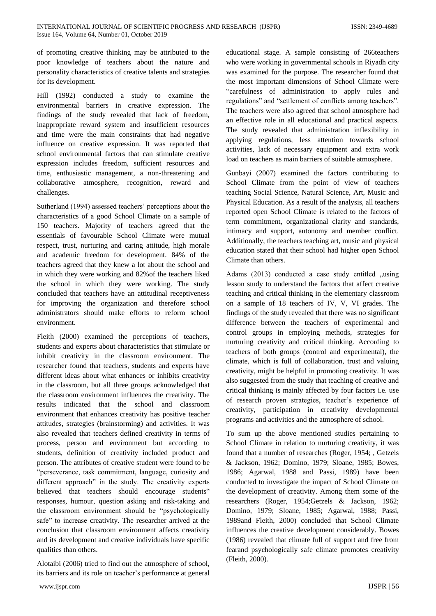of promoting creative thinking may be attributed to the poor knowledge of teachers about the nature and personality characteristics of creative talents and strategies for its development.

Hill (1992) conducted a study to examine the environmental barriers in creative expression. The findings of the study revealed that lack of freedom, inappropriate reward system and insufficient resources and time were the main constraints that had negative influence on creative expression. It was reported that school environmental factors that can stimulate creative expression includes freedom, sufficient resources and time, enthusiastic management, a non-threatening and collaborative atmosphere, recognition, reward and challenges.

Sutherland (1994) assessed teachers' perceptions about the characteristics of a good School Climate on a sample of 150 teachers. Majority of teachers agreed that the essentials of favourable School Climate were mutual respect, trust, nurturing and caring attitude, high morale and academic freedom for development. 84% of the teachers agreed that they knew a lot about the school and in which they were working and 82%of the teachers liked the school in which they were working. The study concluded that teachers have an attitudinal receptiveness for improving the organization and therefore school administrators should make efforts to reform school environment.

Fleith (2000) examined the perceptions of teachers, students and experts about characteristics that stimulate or inhibit creativity in the classroom environment. The researcher found that teachers, students and experts have different ideas about what enhances or inhibits creativity in the classroom, but all three groups acknowledged that the classroom environment influences the creativity. The results indicated that the school and classroom environment that enhances creativity has positive teacher attitudes, strategies (brainstorming) and activities. It was also revealed that teachers defined creativity in terms of process, person and environment but according to students, definition of creativity included product and person. The attributes of creative student were found to be "perseverance, task commitment, language, curiosity and different approach" in the study. The creativity experts believed that teachers should encourage students" responses, humour, question asking and risk-taking and the classroom environment should be "psychologically safe" to increase creativity. The researcher arrived at the conclusion that classroom environment affects creativity and its development and creative individuals have specific qualities than others.

Alotaibi (2006) tried to find out the atmosphere of school, its barriers and its role on teacher's performance at general

educational stage. A sample consisting of 266teachers who were working in governmental schools in Riyadh city was examined for the purpose. The researcher found that the most important dimensions of School Climate were "carefulness of administration to apply rules and regulations" and "settlement of conflicts among teachers". The teachers were also agreed that school atmosphere had an effective role in all educational and practical aspects. The study revealed that administration inflexibility in applying regulations, less attention towards school activities, lack of necessary equipment and extra work load on teachers as main barriers of suitable atmosphere.

Gunbayi (2007) examined the factors contributing to School Climate from the point of view of teachers teaching Social Science, Natural Science, Art, Music and Physical Education. As a result of the analysis, all teachers reported open School Climate is related to the factors of term commitment, organizational clarity and standards, intimacy and support, autonomy and member conflict. Additionally, the teachers teaching art, music and physical education stated that their school had higher open School Climate than others.

Adams  $(2013)$  conducted a case study entitled  $\mu$ using lesson study to understand the factors that affect creative teaching and critical thinking in the elementary classroom on a sample of 18 teachers of IV, V, VI grades. The findings of the study revealed that there was no significant difference between the teachers of experimental and control groups in employing methods, strategies for nurturing creativity and critical thinking. According to teachers of both groups (control and experimental), the climate, which is full of collaboration, trust and valuing creativity, might be helpful in promoting creativity. It was also suggested from the study that teaching of creative and critical thinking is mainly affected by four factors i.e. use of research proven strategies, teacher's experience of creativity, participation in creativity developmental programs and activities and the atmosphere of school.

To sum up the above mentioned studies pertaining to School Climate in relation to nurturing creativity, it was found that a number of researches (Roger, 1954; , Getzels & Jackson, 1962; Domino, 1979; Sloane, 1985; Bowes, 1986; Agarwal, 1988 and Passi, 1989) have been conducted to investigate the impact of School Climate on the development of creativity. Among them some of the researchers (Roger, 1954;Getzels & Jackson, 1962; Domino, 1979; Sloane, 1985; Agarwal, 1988; Passi, 1989and Fleith, 2000) concluded that School Climate influences the creative development considerably. Bowes (1986) revealed that climate full of support and free from fearand psychologically safe climate promotes creativity (Fleith, 2000).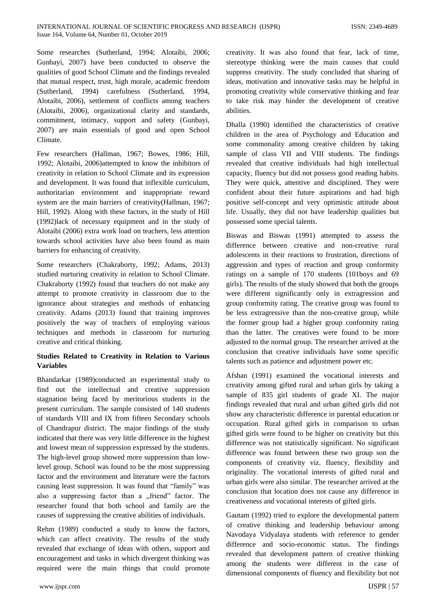Some researches (Sutherland, 1994; Alotaibi, 2006; Gunbayi, 2007) have been conducted to observe the qualities of good School Climate and the findings revealed that mutual respect, trust, high morale, academic freedom (Sutherland, 1994) carefulness (Sutherland, 1994, Alotaibi, 2006), settlement of conflicts among teachers (Alotaibi, 2006), organizational clarity and standards, commitment, intimacy, support and safety (Gunbayi, 2007) are main essentials of good and open School Climate.

Few researchers (Hallman, 1967; Bowes, 1986; Hill, 1992; Alotaibi, 2006)attempted to know the inhibitors of creativity in relation to School Climate and its expression and development. It was found that inflexible curriculum, authoritarian environment and inappropriate reward system are the main barriers of creativity(Hallman, 1967; Hill, 1992). Along with these factors, in the study of Hill (1992)lack of necessary equipment and in the study of Alotaibi (2006) extra work load on teachers, less attention towards school activities have also been found as main barriers for enhancing of creativity.

Some researchers (Chakraborty, 1992; Adams, 2013) studied nurturing creativity in relation to School Climate. Chakraborty (1992) found that teachers do not make any attempt to promote creativity in classroom due to the ignorance about strategies and methods of enhancing creativity. Adams (2013) found that training improves positively the way of teachers of employing various techniques and methods in classroom for nurturing creative and critical thinking.

# **Studies Related to Creativity in Relation to Various Variables**

Bhandarkar (1989)conducted an experimental study to find out the intellectual and creative suppression stagnation being faced by meritorious students in the present curriculum. The sample consisted of 140 students of standards VIII and IX from fifteen Secondary schools of Chandrapur district. The major findings of the study indicated that there was very little difference in the highest and lowest mean of suppression expressed by the students. The high-level group showed more suppression than lowlevel group. School was found to be the most suppressing factor and the environment and literature were the factors causing least suppression. It was found that "family" was also a suppressing factor than a "friend" factor. The researcher found that both school and family are the causes of suppressing the creative abilities of individuals.

Rehm (1989) conducted a study to know the factors, which can affect creativity. The results of the study revealed that exchange of ideas with others, support and encouragement and tasks in which divergent thinking was required were the main things that could promote creativity. It was also found that fear, lack of time, stereotype thinking were the main causes that could suppress creativity. The study concluded that sharing of ideas, motivation and innovative tasks may be helpful in promoting creativity while conservative thinking and fear to take risk may hinder the development of creative abilities.

Dhalla (1990) identified the characteristics of creative children in the area of Psychology and Education and some commonality among creative children by taking sample of class VII and VIII students. The findings revealed that creative individuals had high intellectual capacity, fluency but did not possess good reading habits. They were quick, attentive and disciplined. They were confident about their future aspirations and had high positive self-concept and very optimistic attitude about life. Usually, they did not have leadership qualities but possessed some special talents.

Biswas and Biswas (1991) attempted to assess the difference between creative and non-creative rural adolescents in their reactions to frustration, directions of aggression and types of reaction and group conformity ratings on a sample of 170 students (101boys and 69 girls). The results of the study showed that both the groups were different significantly only in extragression and group conformity rating. The creative group was found to be less extragressive than the non-creative group, while the former group had a higher group conformity rating than the latter. The creatives were found to be more adjusted to the normal group. The researcher arrived at the conclusion that creative individuals have some specific talents such as patience and adjustment power etc.

Afshan (1991) examined the vocational interests and creativity among gifted rural and urban girls by taking a sample of 835 girl students of grade XI. The major findings revealed that rural and urban gifted girls did not show any characteristic difference in parental education or occupation. Rural gifted girls in comparison to urban gifted girls were found to be higher on creativity but this difference was not statistically significant. No significant difference was found between these two group son the components of creativity viz. fluency, flexibility and originality. The vocational interests of gifted rural and urban girls were also similar. The researcher arrived at the conclusion that location does not cause any difference in creativeness and vocational interests of gifted girls.

Gautam (1992) tried to explore the developmental pattern of creative thinking and leadership behaviour among Navodaya Vidyalaya students with reference to gender difference and socio-economic status. The findings revealed that development pattern of creative thinking among the students were different in the case of dimensional components of fluency and flexibility but not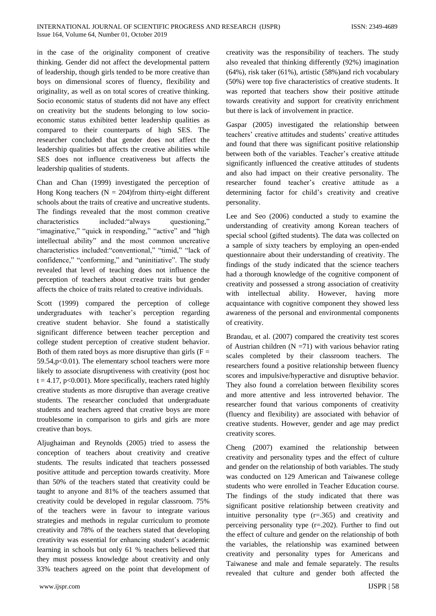in the case of the originality component of creative thinking. Gender did not affect the developmental pattern of leadership, though girls tended to be more creative than boys on dimensional scores of fluency, flexibility and originality, as well as on total scores of creative thinking. Socio economic status of students did not have any effect on creativity but the students belonging to low socioeconomic status exhibited better leadership qualities as compared to their counterparts of high SES. The researcher concluded that gender does not affect the leadership qualities but affects the creative abilities while SES does not influence creativeness but affects the leadership qualities of students.

Chan and Chan (1999) investigated the perception of Hong Kong teachers  $(N = 204)$ from thirty-eight different schools about the traits of creative and uncreative students. The findings revealed that the most common creative characteristics included:"always questioning," "imaginative," "quick in responding," "active" and "high intellectual ability" and the most common uncreative characteristics included:"conventional," "timid," "lack of confidence," "conforming," and "uninitiative". The study revealed that level of teaching does not influence the perception of teachers about creative traits but gender affects the choice of traits related to creative individuals.

Scott (1999) compared the perception of college undergraduates with teacher's perception regarding creative student behavior. She found a statistically significant difference between teacher perception and college student perception of creative student behavior. Both of them rated boys as more disruptive than girls  $(F =$ 59.54,p<0.01). The elementary school teachers were more likely to associate disruptiveness with creativity (post hoc  $t = 4.17$ , p<0.001). More specifically, teachers rated highly creative students as more disruptive than average creative students. The researcher concluded that undergraduate students and teachers agreed that creative boys are more troublesome in comparison to girls and girls are more creative than boys.

Aljughaiman and Reynolds (2005) tried to assess the conception of teachers about creativity and creative students. The results indicated that teachers possessed positive attitude and perception towards creativity. More than 50% of the teachers stated that creativity could be taught to anyone and 81% of the teachers assumed that creativity could be developed in regular classroom. 75% of the teachers were in favour to integrate various strategies and methods in regular curriculum to promote creativity and 78% of the teachers stated that developing creativity was essential for enhancing student's academic learning in schools but only 61 % teachers believed that they must possess knowledge about creativity and only 33% teachers agreed on the point that development of creativity was the responsibility of teachers. The study also revealed that thinking differently (92%) imagination (64%), risk taker (61%), artistic (58%)and rich vocabulary (50%) were top five characteristics of creative students. It was reported that teachers show their positive attitude towards creativity and support for creativity enrichment but there is lack of involvement in practice.

Gaspar (2005) investigated the relationship between teachers' creative attitudes and students' creative attitudes and found that there was significant positive relationship between both of the variables. Teacher's creative attitude significantly influenced the creative attitudes of students and also had impact on their creative personality. The researcher found teacher's creative attitude as a determining factor for child's creativity and creative personality.

Lee and Seo (2006) conducted a study to examine the understanding of creativity among Korean teachers of special school (gifted students). The data was collected on a sample of sixty teachers by employing an open-ended questionnaire about their understanding of creativity. The findings of the study indicated that the science teachers had a thorough knowledge of the cognitive component of creativity and possessed a strong association of creativity with intellectual ability. However, having more acquaintance with cognitive component they showed less awareness of the personal and environmental components of creativity.

Brandau, et al. (2007) compared the creativity test scores of Austrian children  $(N = 71)$  with various behavior rating scales completed by their classroom teachers. The researchers found a positive relationship between fluency scores and impulsive/hyperactive and disruptive behavior. They also found a correlation between flexibility scores and more attentive and less introverted behavior. The researcher found that various components of creativity (fluency and flexibility) are associated with behavior of creative students. However, gender and age may predict creativity scores.

Cheng (2007) examined the relationship between creativity and personality types and the effect of culture and gender on the relationship of both variables. The study was conducted on 129 American and Taiwanese college students who were enrolled in Teacher Education course. The findings of the study indicated that there was significant positive relationship between creativity and intuitive personality type  $(r=0.365)$  and creativity and perceiving personality type  $(r=.202)$ . Further to find out the effect of culture and gender on the relationship of both the variables, the relationship was examined between creativity and personality types for Americans and Taiwanese and male and female separately. The results revealed that culture and gender both affected the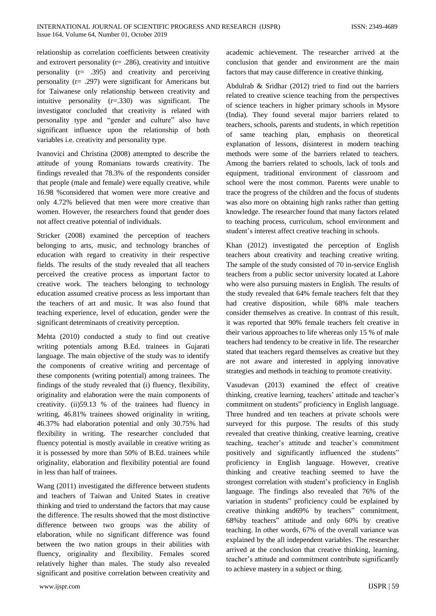relationship as correlation coefficients between creativity and extrovert personality ( $r = .286$ ), creativity and intuitive personality (r= .395) and creativity and perceiving personality (r= .297) were significant for Americans but for Taiwanese only relationship between creativity and intuitive personality (r=.330) was significant. The investigator concluded that creativity is related with personality type and "gender and culture" also have significant influence upon the relationship of both variables i.e. creativity and personality type.

Ivanovici and Christina (2008) attempted to describe the attitude of young Romanians towards creativity. The findings revealed that 78.3% of the respondents consider that people (male and female) were equally creative, while 16.98 %considered that women were more creative and only 4.72% believed that men were more creative than women. However, the researchers found that gender does not affect creative potential of individuals.

Stricker (2008) examined the perception of teachers belonging to arts, music, and technology branches of education with regard to creativity in their respective fields. The results of the study revealed that all teachers perceived the creative process as important factor to creative work. The teachers belonging to technology education assumed creative process as less important than the teachers of art and music. It was also found that teaching experience, level of education, gender were the significant determinants of creativity perception.

Mehta (2010) conducted a study to find out creative writing potentials among B.Ed. trainees in Gujarati language. The main objective of the study was to identify the components of creative writing and percentage of these components (writing potential) among trainees. The findings of the study revealed that (i) fluency, flexibility, originality and elaboration were the main components of creativity. (ii)59.13 % of the trainees had fluency in writing, 46.81% trainees showed originality in writing, 46.37% had elaboration potential and only 30.75% had flexibility in writing. The researcher concluded that fluency potential is mostly available in creative writing as it is possessed by more than 50% of B.Ed. trainees while originality, elaboration and flexibility potential are found in less than half of trainees.

Wang (2011) investigated the difference between students and teachers of Taiwan and United States in creative thinking and tried to understand the factors that may cause the difference. The results showed that the most distinctive difference between two groups was the ability of elaboration, while no significant difference was found between the two nation groups in their abilities with fluency, originality and flexibility. Females scored relatively higher than males. The study also revealed significant and positive correlation between creativity and

www.ijspr.com IJSPR | 59

academic achievement. The researcher arrived at the conclusion that gender and environment are the main factors that may cause difference in creative thinking.

Abdulrab & Sridhar (2012) tried to find out the barriers related to creative science teaching from the perspectives of science teachers in higher primary schools in Mysore (India). They found several major barriers related to teachers, schools, parents and students, in which repetition of same teaching plan, emphasis on theoretical explanation of lessons, disinterest in modern teaching methods were some of the barriers related to teachers. Among the barriers related to schools, lack of tools and equipment, traditional environment of classroom and school were the most common. Parents were unable to trace the progress of the children and the focus of students was also more on obtaining high ranks rather than getting knowledge. The researcher found that many factors related to teaching process, curriculum, school environment and student's interest affect creative teaching in schools.

Khan (2012) investigated the perception of English teachers about creativity and teaching creative writing. The sample of the study consisted of 70 in-service English teachers from a public sector university located at Lahore who were also pursuing masters in English. The results of the study revealed that 64% female teachers felt that they had creative disposition, while 68% male teachers consider themselves as creative. In contrast of this result, it was reported that 90% female teachers felt creative in their various approaches to life whereas only 15 % of male teachers had tendency to be creative in life. The researcher stated that teachers regard themselves as creative but they are not aware and interested in applying innovative strategies and methods in teaching to promote creativity.

Vasudevan (2013) examined the effect of creative thinking, creative learning, teachers' attitude and teacher's commitment on students" proficiency in English language. Three hundred and ten teachers at private schools were surveyed for this purpose. The results of this study revealed that creative thinking, creative learning, creative teaching, teacher's attitude and teacher's commitment positively and significantly influenced the students" proficiency in English language. However, creative thinking and creative teaching seemed to have the strongest correlation with student's proficiency in English language. The findings also revealed that 76% of the variation in students" proficiency could be explained by creative thinking and69% by teachers" commitment, 68%by teachers" attitude and only 60% by creative teaching. In other words, 67% of the overall variance was explained by the all independent variables. The researcher arrived at the conclusion that creative thinking, learning, teacher's attitude and commitment contribute significantly to achieve mastery in a subject or thing.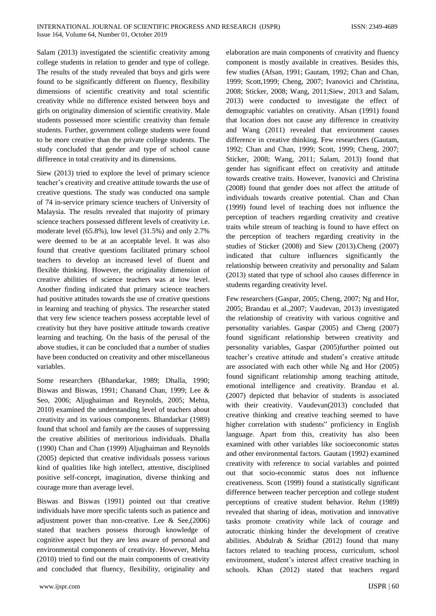Salam (2013) investigated the scientific creativity among college students in relation to gender and type of college. The results of the study revealed that boys and girls were found to be significantly different on fluency, flexibility dimensions of scientific creativity and total scientific creativity while no difference existed between boys and girls on originality dimension of scientific creativity. Male students possessed more scientific creativity than female students. Further, government college students were found to be more creative than the private college students. The study concluded that gender and type of school cause difference in total creativity and its dimensions.

Siew (2013) tried to explore the level of primary science teacher's creativity and creative attitude towards the use of creative questions. The study was conducted ona sample of 74 in-service primary science teachers of University of Malaysia. The results revealed that majority of primary science teachers possessed different levels of creativity i.e. moderate level (65.8%), low level (31.5%) and only 2.7% were deemed to be at an acceptable level. It was also found that creative questions facilitated primary school teachers to develop an increased level of fluent and flexible thinking. However, the originality dimension of creative abilities of science teachers was at low level. Another finding indicated that primary science teachers had positive attitudes towards the use of creative questions in learning and teaching of physics. The researcher stated that very few science teachers possess acceptable level of creativity but they have positive attitude towards creative learning and teaching. On the basis of the perusal of the above studies, it can be concluded that a number of studies have been conducted on creativity and other miscellaneous variables.

Some researchers (Bhandarkar, 1989; Dhalla, 1990; Biswas and Biswas, 1991; Chanand Chan, 1999; Lee & Seo, 2006; Aljughaiman and Reynolds, 2005; Mehta, 2010) examined the understanding level of teachers about creativity and its various components. Bhandarkar (1989) found that school and family are the causes of suppressing the creative abilities of meritorious individuals. Dhalla (1990) Chan and Chan (1999) Aljughaiman and Reynolds (2005) depicted that creative individuals possess various kind of qualities like high intellect, attentive, disciplined positive self-concept, imagination, diverse thinking and courage more than average level.

Biswas and Biswas (1991) pointed out that creative individuals have more specific talents such as patience and adjustment power than non-creative. Lee & See,(2006) stated that teachers possess thorough knowledge of cognitive aspect but they are less aware of personal and environmental components of creativity. However, Mehta (2010) tried to find out the main components of creativity and concluded that fluency, flexibility, originality and

www.ijspr.com IJSPR | 60

elaboration are main components of creativity and fluency component is mostly available in creatives. Besides this, few studies (Afsan, 1991; Gautam, 1992; Chan and Chan, 1999; Scott,1999; Cheng, 2007; Ivanovici and Christina, 2008; Sticker, 2008; Wang, 2011;Siew, 2013 and Salam, 2013) were conducted to investigate the effect of demographic variables on creativity. Afsan (1991) found that location does not cause any difference in creativity and Wang (2011) revealed that environment causes difference in creative thinking. Few researchers (Gautam, 1992; Chan and Chan, 1999; Scott, 1999; Cheng, 2007; Sticker, 2008; Wang, 2011; Salam, 2013) found that gender has significant effect on creativity and attitude towards creative traits. However, Ivanovici and Christina (2008) found that gender does not affect the attitude of individuals towards creative potential. Chan and Chan (1999) found level of teaching does not influence the perception of teachers regarding creativity and creative traits while stream of teaching is found to have effect on the perception of teachers regarding creativity in the studies of Sticker (2008) and Siew (2013).Cheng (2007) indicated that culture influences significantly the relationship between creativity and personality and Salam (2013) stated that type of school also causes difference in students regarding creativity level.

Few researchers (Gaspar, 2005; Cheng, 2007; Ng and Hor, 2005; Brandau et al.,2007; Vaudevan, 2013) investigated the relationship of creativity with various cognitive and personality variables. Gaspar (2005) and Cheng (2007) found significant relationship between creativity and personality variables, Gaspar (2005)further pointed out teacher's creative attitude and student's creative attitude are associated with each other while Ng and Hor (2005) found significant relationship among teaching attitude, emotional intelligence and creativity. Brandau et al. (2007) depicted that behavior of students is associated with their creativity. Vaudevan(2013) concluded that creative thinking and creative teaching seemed to have higher correlation with students" proficiency in English language. Apart from this, creativity has also been examined with other variables like socioeconomic status and other environmental factors. Gautam (1992) examined creativity with reference to social variables and pointed out that socio-economic status does not influence creativeness. Scott (1999) found a statistically significant difference between teacher perception and college student perceptions of creative student behavior. Rehm (1989) revealed that sharing of ideas, motivation and innovative tasks promote creativity while lack of courage and autocratic thinking hinder the development of creative abilities. Abdulrab & Sridhar (2012) found that many factors related to teaching process, curriculum, school environment, student's interest affect creative teaching in schools. Khan (2012) stated that teachers regard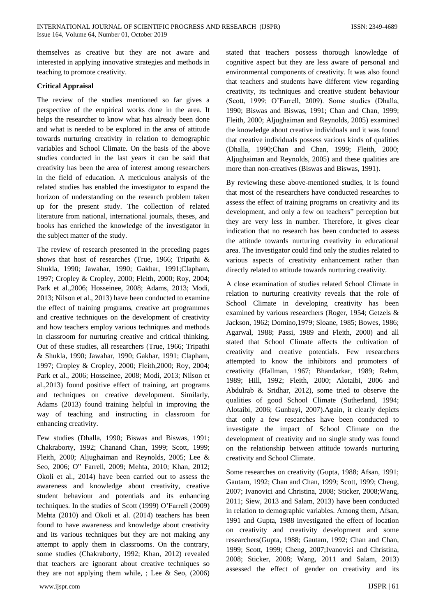themselves as creative but they are not aware and interested in applying innovative strategies and methods in teaching to promote creativity.

# **Critical Appraisal**

The review of the studies mentioned so far gives a perspective of the empirical works done in the area. It helps the researcher to know what has already been done and what is needed to be explored in the area of attitude towards nurturing creativity in relation to demographic variables and School Climate. On the basis of the above studies conducted in the last years it can be said that creativity has been the area of interest among researchers in the field of education. A meticulous analysis of the related studies has enabled the investigator to expand the horizon of understanding on the research problem taken up for the present study. The collection of related literature from national, international journals, theses, and books has enriched the knowledge of the investigator in the subject matter of the study.

The review of research presented in the preceding pages shows that host of researches (True, 1966; Tripathi & Shukla, 1990; Jawahar, 1990; Gakhar, 1991;Clapham, 1997; Cropley & Cropley, 2000; Fleith, 2000; Roy, 2004; Park et al.,2006; Hosseinee, 2008; Adams, 2013; Modi, 2013; Nilson et al., 2013) have been conducted to examine the effect of training programs, creative art programmes and creative techniques on the development of creativity and how teachers employ various techniques and methods in classroom for nurturing creative and critical thinking. Out of these studies, all researchers (True, 1966; Tripathi & Shukla, 1990; Jawahar, 1990; Gakhar, 1991; Clapham, 1997; Cropley & Cropley, 2000; Fleith,2000; Roy, 2004; Park et al., 2006; Hosseinee, 2008; Modi, 2013; Nilson et al.,2013) found positive effect of training, art programs and techniques on creative development. Similarly, Adams (2013) found training helpful in improving the way of teaching and instructing in classroom for enhancing creativity.

Few studies (Dhalla, 1990; Biswas and Biswas, 1991; Chakraborty, 1992; Chanand Chan, 1999; Scott, 1999; Fleith, 2000; Aljughaiman and Reynolds, 2005; Lee & Seo, 2006; O" Farrell, 2009; Mehta, 2010; Khan, 2012; Okoli et al., 2014) have been carried out to assess the awareness and knowledge about creativity, creative student behaviour and potentials and its enhancing techniques. In the studies of Scott (1999) O'Farrell (2009) Mehta (2010) and Okoli et al. (2014) teachers has been found to have awareness and knowledge about creativity and its various techniques but they are not making any attempt to apply them in classrooms. On the contrary, some studies (Chakraborty, 1992; Khan, 2012) revealed that teachers are ignorant about creative techniques so they are not applying them while, ; Lee & Seo,  $(2006)$  stated that teachers possess thorough knowledge of cognitive aspect but they are less aware of personal and environmental components of creativity. It was also found that teachers and students have different view regarding creativity, its techniques and creative student behaviour (Scott, 1999; O'Farrell, 2009). Some studies (Dhalla, 1990; Biswas and Biswas, 1991; Chan and Chan, 1999; Fleith, 2000; Aljughaiman and Reynolds, 2005) examined the knowledge about creative individuals and it was found that creative individuals possess various kinds of qualities (Dhalla, 1990;Chan and Chan, 1999; Fleith, 2000; Aljughaiman and Reynolds, 2005) and these qualities are more than non-creatives (Biswas and Biswas, 1991).

By reviewing these above-mentioned studies, it is found that most of the researchers have conducted researches to assess the effect of training programs on creativity and its development, and only a few on teachers" perception but they are very less in number. Therefore, it gives clear indication that no research has been conducted to assess the attitude towards nurturing creativity in educational area. The investigator could find only the studies related to various aspects of creativity enhancement rather than directly related to attitude towards nurturing creativity.

A close examination of studies related School Climate in relation to nurturing creativity reveals that the role of School Climate in developing creativity has been examined by various researchers (Roger, 1954; Getzels & Jackson, 1962; Domino,1979; Sloane, 1985; Bowes, 1986; Agarwal, 1988; Passi, 1989 and Fleith, 2000) and all stated that School Climate affects the cultivation of creativity and creative potentials. Few researchers attempted to know the inhibitors and promoters of creativity (Hallman, 1967; Bhandarkar, 1989; Rehm, 1989; Hill, 1992; Fleith, 2000; Alotaibi, 2006 and Abdulrab & Sridhar, 2012), some tried to observe the qualities of good School Climate (Sutherland, 1994; Alotaibi, 2006; Gunbayi, 2007).Again, it clearly depicts that only a few researches have been conducted to investigate the impact of School Climate on the development of creativity and no single study was found on the relationship between attitude towards nurturing creativity and School Climate.

Some researches on creativity (Gupta, 1988; Afsan, 1991; Gautam, 1992; Chan and Chan, 1999; Scott, 1999; Cheng, 2007; Ivanovici and Christina, 2008; Sticker, 2008;Wang, 2011; Siew, 2013 and Salam, 2013) have been conducted in relation to demographic variables. Among them, Afsan, 1991 and Gupta, 1988 investigated the effect of location on creativity and creativity development and some researchers(Gupta, 1988; Gautam, 1992; Chan and Chan, 1999; Scott, 1999; Cheng, 2007;Ivanovici and Christina, 2008; Sticker, 2008; Wang, 2011 and Salam, 2013) assessed the effect of gender on creativity and its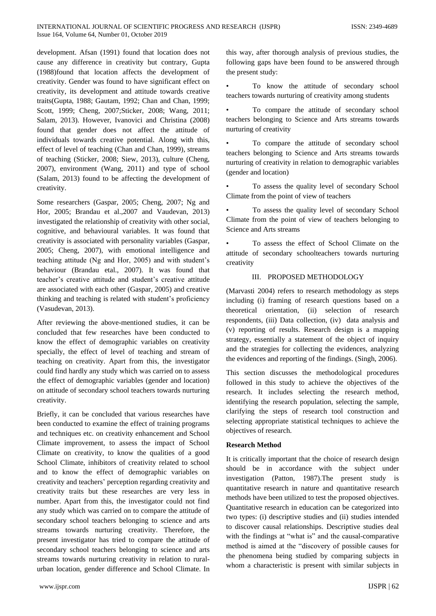development. Afsan (1991) found that location does not cause any difference in creativity but contrary, Gupta (1988)found that location affects the development of creativity. Gender was found to have significant effect on creativity, its development and attitude towards creative traits(Gupta, 1988; Gautam, 1992; Chan and Chan, 1999; Scott, 1999; Cheng, 2007;Sticker, 2008; Wang, 2011; Salam, 2013). However, Ivanovici and Christina (2008) found that gender does not affect the attitude of individuals towards creative potential. Along with this, effect of level of teaching (Chan and Chan, 1999), streams of teaching (Sticker, 2008; Siew, 2013), culture (Cheng, 2007), environment (Wang, 2011) and type of school (Salam, 2013) found to be affecting the development of creativity.

Some researchers (Gaspar, 2005; Cheng, 2007; Ng and Hor, 2005; Brandau et al.,2007 and Vaudevan, 2013) investigated the relationship of creativity with other social, cognitive, and behavioural variables. It was found that creativity is associated with personality variables (Gaspar, 2005; Cheng, 2007), with emotional intelligence and teaching attitude (Ng and Hor, 2005) and with student's behaviour (Brandau etal., 2007). It was found that teacher's creative attitude and student's creative attitude are associated with each other (Gaspar, 2005) and creative thinking and teaching is related with student's proficiency (Vasudevan, 2013).

After reviewing the above-mentioned studies, it can be concluded that few researches have been conducted to know the effect of demographic variables on creativity specially, the effect of level of teaching and stream of teaching on creativity. Apart from this, the investigator could find hardly any study which was carried on to assess the effect of demographic variables (gender and location) on attitude of secondary school teachers towards nurturing creativity.

Briefly, it can be concluded that various researches have been conducted to examine the effect of training programs and techniques etc. on creativity enhancement and School Climate improvement, to assess the impact of School Climate on creativity, to know the qualities of a good School Climate, inhibitors of creativity related to school and to know the effect of demographic variables on creativity and teachers' perception regarding creativity and creativity traits but these researches are very less in number. Apart from this, the investigator could not find any study which was carried on to compare the attitude of secondary school teachers belonging to science and arts streams towards nurturing creativity. Therefore, the present investigator has tried to compare the attitude of secondary school teachers belonging to science and arts streams towards nurturing creativity in relation to ruralurban location, gender difference and School Climate. In

this way, after thorough analysis of previous studies, the following gaps have been found to be answered through the present study:

To know the attitude of secondary school teachers towards nurturing of creativity among students

• To compare the attitude of secondary school teachers belonging to Science and Arts streams towards nurturing of creativity

• To compare the attitude of secondary school teachers belonging to Science and Arts streams towards nurturing of creativity in relation to demographic variables (gender and location)

• To assess the quality level of secondary School Climate from the point of view of teachers

• To assess the quality level of secondary School Climate from the point of view of teachers belonging to Science and Arts streams

• To assess the effect of School Climate on the attitude of secondary schoolteachers towards nurturing creativity

#### III. PROPOSED METHODOLOGY

(Marvasti 2004) refers to research methodology as steps including (i) framing of research questions based on a theoretical orientation, (ii) selection of research respondents, (iii) Data collection, (iv) data analysis and (v) reporting of results. Research design is a mapping strategy, essentially a statement of the object of inquiry and the strategies for collecting the evidences, analyzing the evidences and reporting of the findings. (Singh, 2006).

This section discusses the methodological procedures followed in this study to achieve the objectives of the research. It includes selecting the research method, identifying the research population, selecting the sample, clarifying the steps of research tool construction and selecting appropriate statistical techniques to achieve the objectives of research.

#### **Research Method**

It is critically important that the choice of research design should be in accordance with the subject under investigation (Patton, 1987).The present study is quantitative research in nature and quantitative research methods have been utilized to test the proposed objectives. Quantitative research in education can be categorized into two types: (i) descriptive studies and (ii) studies intended to discover causal relationships. Descriptive studies deal with the findings at "what is" and the causal-comparative method is aimed at the "discovery of possible causes for the phenomena being studied by comparing subjects in whom a characteristic is present with similar subjects in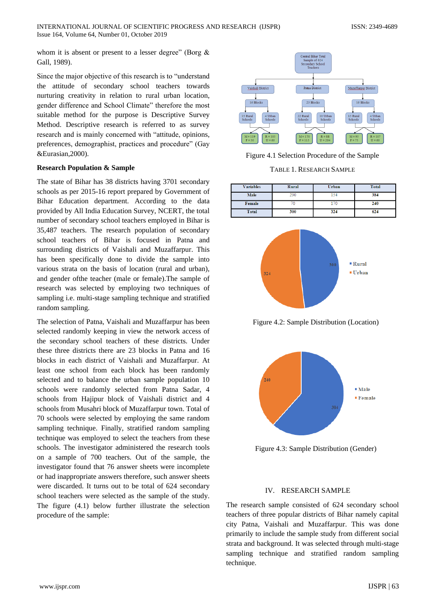whom it is absent or present to a lesser degree" (Borg  $\&$ Gall, 1989).

Since the major objective of this research is to "understand the attitude of secondary school teachers towards nurturing creativity in relation to rural urban location, gender difference and School Climate" therefore the most suitable method for the purpose is Descriptive Survey Method. Descriptive research is referred to as survey research and is mainly concerned with "attitude, opinions, preferences, demographist, practices and procedure" (Gay &Eurasian,2000).

#### **Research Population & Sample**

The state of Bihar has 38 districts having 3701 secondary schools as per 2015-16 report prepared by Government of Bihar Education department. According to the data provided by All India Education Survey, NCERT, the total number of secondary school teachers employed in Bihar is 35,487 teachers. The research population of secondary school teachers of Bihar is focused in Patna and surrounding districts of Vaishali and Muzaffarpur. This has been specifically done to divide the sample into various strata on the basis of location (rural and urban), and gender ofthe teacher (male or female).The sample of research was selected by employing two techniques of sampling i.e. multi-stage sampling technique and stratified random sampling.

The selection of Patna, Vaishali and Muzaffarpur has been selected randomly keeping in view the network access of the secondary school teachers of these districts. Under these three districts there are 23 blocks in Patna and 16 blocks in each district of Vaishali and Muzaffarpur. At least one school from each block has been randomly selected and to balance the urban sample population 10 schools were randomly selected from Patna Sadar, 4 schools from Hajipur block of Vaishali district and 4 schools from Musahri block of Muzaffarpur town. Total of 70 schools were selected by employing the same random sampling technique. Finally, stratified random sampling technique was employed to select the teachers from these schools. The investigator administered the research tools on a sample of 700 teachers. Out of the sample, the investigator found that 76 answer sheets were incomplete or had inappropriate answers therefore, such answer sheets were discarded. It turns out to be total of 624 secondary school teachers were selected as the sample of the study. The figure (4.1) below further illustrate the selection procedure of the sample:



Figure 4.1 Selection Procedure of the Sample

TABLE 1. RESEARCH SAMPLE

| <b>Variables</b> | Rural | Urban | Total |
|------------------|-------|-------|-------|
| Male             | 230   | 154   | 384   |
| Female           |       |       | 240   |
| <b>Total</b>     | 300   | 324   | 624   |



Figure 4.2: Sample Distribution (Location)



Figure 4.3: Sample Distribution (Gender)

#### IV. RESEARCH SAMPLE

The research sample consisted of 624 secondary school teachers of three popular districts of Bihar namely capital city Patna, Vaishali and Muzaffarpur. This was done primarily to include the sample study from different social strata and background. It was selected through multi-stage sampling technique and stratified random sampling technique.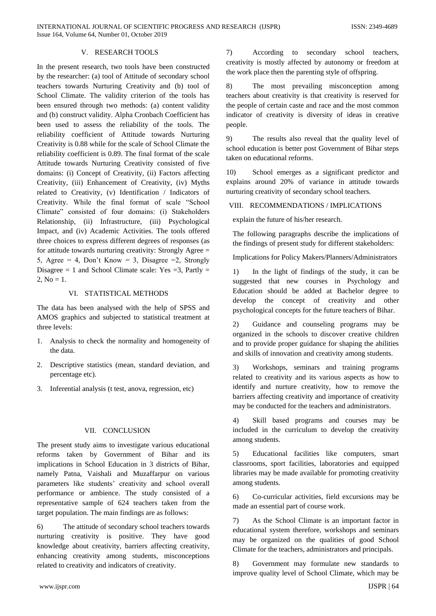# V. RESEARCH TOOLS

In the present research, two tools have been constructed by the researcher: (a) tool of Attitude of secondary school teachers towards Nurturing Creativity and (b) tool of School Climate. The validity criterion of the tools has been ensured through two methods: (a) content validity and (b) construct validity. Alpha Cronbach Coefficient has been used to assess the reliability of the tools. The reliability coefficient of Attitude towards Nurturing Creativity is 0.88 while for the scale of School Climate the reliability coefficient is 0.89. The final format of the scale Attitude towards Nurturing Creativity consisted of five domains: (i) Concept of Creativity, (ii) Factors affecting Creativity, (iii) Enhancement of Creativity, (iv) Myths related to Creativity, (v) Identification / Indicators of Creativity. While the final format of scale "School Climate" consisted of four domains: (i) Stakeholders Relationship, (ii) Infrastructure, (iii) Psychological Impact, and (iv) Academic Activities. The tools offered three choices to express different degrees of responses (as for attitude towards nurturing creativity: Strongly Agree = 5, Agree = 4, Don't Know = 3, Disagree = 2, Strongly Disagree  $= 1$  and School Climate scale: Yes  $= 3$ . Partly  $=$ 2,  $No = 1$ .

# VI. STATISTICAL METHODS

The data has been analysed with the help of SPSS and AMOS graphics and subjected to statistical treatment at three levels:

- 1. Analysis to check the normality and homogeneity of the data.
- 2. Descriptive statistics (mean, standard deviation, and percentage etc).
- 3. Inferential analysis (t test, anova, regression, etc)

#### VII. CONCLUSION

The present study aims to investigate various educational reforms taken by Government of Bihar and its implications in School Education in 3 districts of Bihar, namely Patna, Vaishali and Muzaffarpur on various parameters like students' creativity and school overall performance or ambience. The study consisted of a representative sample of 624 teachers taken from the target population. The main findings are as follows:

6) The attitude of secondary school teachers towards nurturing creativity is positive. They have good knowledge about creativity, barriers affecting creativity, enhancing creativity among students, misconceptions related to creativity and indicators of creativity.

7) According to secondary school teachers, creativity is mostly affected by autonomy or freedom at the work place then the parenting style of offspring.

8) The most prevailing misconception among teachers about creativity is that creativity is reserved for the people of certain caste and race and the most common indicator of creativity is diversity of ideas in creative people.

9) The results also reveal that the quality level of school education is better post Government of Bihar steps taken on educational reforms.

10) School emerges as a significant predictor and explains around 20% of variance in attitude towards nurturing creativity of secondary school teachers.

# VIII. RECOMMENDATIONS / IMPLICATIONS

explain the future of his/her research.

The following paragraphs describe the implications of the findings of present study for different stakeholders:

Implications for Policy Makers/Planners/Administrators

1) In the light of findings of the study, it can be suggested that new courses in Psychology and Education should be added at Bachelor degree to develop the concept of creativity and other psychological concepts for the future teachers of Bihar.

2) Guidance and counseling programs may be organized in the schools to discover creative children and to provide proper guidance for shaping the abilities and skills of innovation and creativity among students.

3) Workshops, seminars and training programs related to creativity and its various aspects as how to identify and nurture creativity, how to remove the barriers affecting creativity and importance of creativity may be conducted for the teachers and administrators.

4) Skill based programs and courses may be included in the curriculum to develop the creativity among students.

5) Educational facilities like computers, smart classrooms, sport facilities, laboratories and equipped libraries may be made available for promoting creativity among students.

6) Co-curricular activities, field excursions may be made an essential part of course work.

7) As the School Climate is an important factor in educational system therefore, workshops and seminars may be organized on the qualities of good School Climate for the teachers, administrators and principals.

8) Government may formulate new standards to improve quality level of School Climate, which may be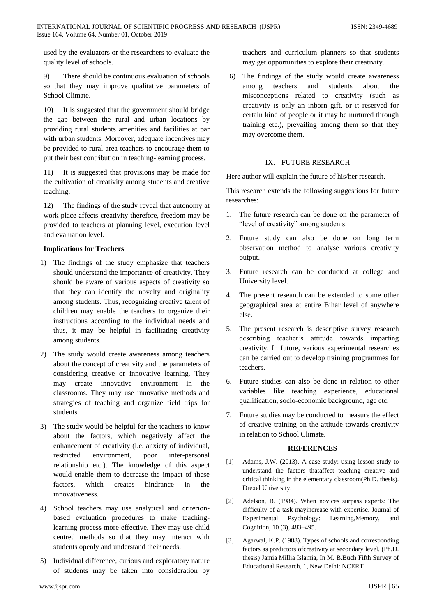used by the evaluators or the researchers to evaluate the quality level of schools.

9) There should be continuous evaluation of schools so that they may improve qualitative parameters of School Climate.

10) It is suggested that the government should bridge the gap between the rural and urban locations by providing rural students amenities and facilities at par with urban students. Moreover, adequate incentives may be provided to rural area teachers to encourage them to put their best contribution in teaching-learning process.

It is suggested that provisions may be made for the cultivation of creativity among students and creative teaching.

12) The findings of the study reveal that autonomy at work place affects creativity therefore, freedom may be provided to teachers at planning level, execution level and evaluation level.

# **Implications for Teachers**

- 1) The findings of the study emphasize that teachers should understand the importance of creativity. They should be aware of various aspects of creativity so that they can identify the novelty and originality among students. Thus, recognizing creative talent of children may enable the teachers to organize their instructions according to the individual needs and thus, it may be helpful in facilitating creativity among students.
- 2) The study would create awareness among teachers about the concept of creativity and the parameters of considering creative or innovative learning. They may create innovative environment in the classrooms. They may use innovative methods and strategies of teaching and organize field trips for students.
- 3) The study would be helpful for the teachers to know about the factors, which negatively affect the enhancement of creativity (i.e. anxiety of individual, restricted environment, poor inter-personal relationship etc.). The knowledge of this aspect would enable them to decrease the impact of these factors, which creates hindrance in the innovativeness.
- 4) School teachers may use analytical and criterionbased evaluation procedures to make teachinglearning process more effective. They may use child centred methods so that they may interact with students openly and understand their needs.
- 5) Individual difference, curious and exploratory nature of students may be taken into consideration by

teachers and curriculum planners so that students may get opportunities to explore their creativity.

6) The findings of the study would create awareness among teachers and students about the misconceptions related to creativity (such as creativity is only an inborn gift, or it reserved for certain kind of people or it may be nurtured through training etc.), prevailing among them so that they may overcome them.

# IX. FUTURE RESEARCH

Here author will explain the future of his/her research.

This research extends the following suggestions for future researches:

- 1. The future research can be done on the parameter of "level of creativity" among students.
- 2. Future study can also be done on long term observation method to analyse various creativity output.
- 3. Future research can be conducted at college and University level.
- 4. The present research can be extended to some other geographical area at entire Bihar level of anywhere else.
- 5. The present research is descriptive survey research describing teacher's attitude towards imparting creativity. In future, various experimental researches can be carried out to develop training programmes for teachers.
- 6. Future studies can also be done in relation to other variables like teaching experience, educational qualification, socio-economic background, age etc.
- 7. Future studies may be conducted to measure the effect of creative training on the attitude towards creativity in relation to School Climate.

# **REFERENCES**

- [1] Adams, J.W. (2013). A case study: using lesson study to understand the factors thataffect teaching creative and critical thinking in the elementary classroom(Ph.D. thesis). Drexel University.
- [2] Adelson, B. (1984). When novices surpass experts: The difficulty of a task mayincrease with expertise. Journal of Experimental Psychology: Learning,Memory, and Cognition, 10 (3), 483–495.
- [3] Agarwal, K.P. (1988). Types of schools and corresponding factors as predictors ofcreativity at secondary level. (Ph.D. thesis) Jamia Millia Islamia, In M. B.Buch Fifth Survey of Educational Research, 1, New Delhi: NCERT.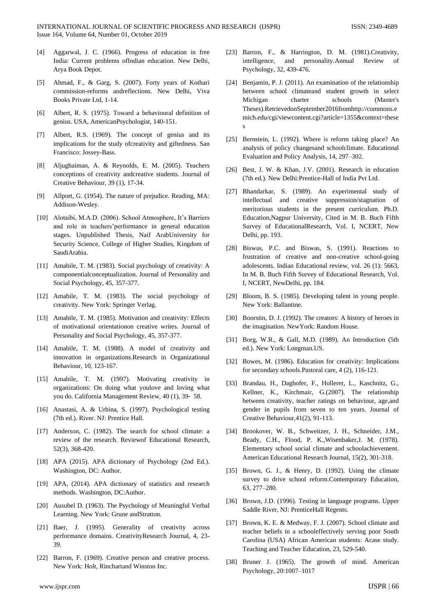- [4] Aggarwal, J. C. (1966). Progress of education in free India: Current problems ofIndian education. New Delhi, Arya Book Depot.
- [5] Ahmad, F., & Garg, S. (2007). Forty years of Kothari commission-reforms andreflections. New Delhi, Viva Books Private Ltd, 1-14.
- [6] Albert, R. S. (1975). Toward a behavioural definition of genius. USA, AmericanPsychologist, 140-151.
- [7] Albert, R.S. (1969). The concept of genius and its implications for the study ofcreativity and giftedness. San Francisco: Jossey-Bass.
- [8] Aljughaiman, A. & Reynolds, E. M. (2005). Teachers conceptions of creativity andcreative students. Journal of Creative Behaviour, 39 (1), 17-34.
- [9] Allport, G. (1954). The nature of prejudice. Reading, MA: Addison-Wesley.
- [10] Alotaibi, M.A.D. (2006). School Atmosphere, It's Barriers and role in teachers'performance in general education stages. Unpublished Thesis, Naif ArabUniversity for Security Science, College of Higher Studies, Kingdom of SaudiArabia.
- [11] Amabile, T. M. (1983). Social psychology of creativity: A componentialconceptualization. Journal of Personality and Social Psychology, 45, 357-377.
- [12] Amabile, T. M. (1983). The social psychology of creativity. New York: Springer Verlag.
- [13] Amabile, T. M. (1985). Motivation and creativity: Effects of motivational orientationon creative writes. Journal of Personality and Social Psychology, 45, 357-377.
- [14] Amabile, T. M. (1988). A model of creativity and innovation in organizations.Research in Organizational Behaviour, 10, 123-167.
- [15] Amabile, T. M. (1997). Motivating creativity in organizations: On doing what youlove and loving what you do. California Management Review, 40 (1), 39‐ 58.
- [16] Anastasi, A. & Urbina, S. (1997). Psychological testing (7th ed.). River. NJ: Prentice Hall.
- [17] Anderson, C. (1982). The search for school climate: a review of the research. Reviewof Educational Research, 52(3), 368-420.
- [18] APA (2015). APA dictionary of Psychology (2nd Ed.). Washington, DC: Author.
- [19] APA, (2014). APA dictionary of statistics and research methods. Washington, DC:Author.
- [20] Ausubel D. (1963). The Psychology of Meaningful Verbal Learning. New York: Grune andStratton.
- [21] Baer, J. (1995). Generality of creativity across performance domains. CreativityResearch Journal, 4, 23- 39.
- [22] Barron, F. (1969). Creative person and creative process. New York: Holt, Rinchartand Winston Inc.
- [23] Barron, F., & Harrington, D. M. (1981). Creativity, intelligence, and personality.Annual Review of Psychology, 32, 439-476.
- [24] Benjamin, P. J. (2011). An examination of the relationship between school climateand student growth in select Michigan charter schools (Master's Theses).RetrievedonSeptember2016fromhttp://commons.e mich.edu/cgi/viewcontent.cgi?article=1355&context=these s
- [25] Bernstein, L. (1992). Where is reform taking place? An analysis of policy changesand schoolclimate. Educational Evaluation and Policy Analysis, 14, 297–302.
- [26] Best, J. W. & Khan, J.V. (2001). Research in education (7th ed.). New Delhi:Prentice-Hall of India Pvt Ltd.
- [27] Bhandarkar, S. (1989). An experimental study of intellectual and creative suppression/stagnation of meritorious students in the present curriculum. Ph.D. Education,Nagpur University, Cited in M. B. Buch Fifth Survey of EducationalResearch, Vol. I, NCERT, New Delhi, pp. 193.
- [28] Biswas, P.C. and Biswas, S. (1991). Reactions to frustration of creative and non-creative school-going adolescents. Indian Educational review, vol. 26 (1): 5663, In M. B. Buch Fifth Survey of Educational Research, Vol. I, NCERT, NewDelhi, pp. 184.
- [29] Bloom, B. S. (1985). Developing talent in young people. New York: Ballantine.
- [30] Boorstin, D. J. (1992). The creators: A history of heroes in the imagination. NewYork: Random House.
- [31] Borg, W.R., & Gall, M.D. (1989). An Introduction (5th ed.). New York: Longman.US.
- [32] Bowes, M. (1986). Education for creativity: Implications for secondary schools.Pastoral care, 4 (2), 116-121.
- [33] Brandau, H., Daghofer, F., Hollerer, L., Kaschnitz, G., Kellner, K., Kirchmair, G.(2007). The relationship between creativity, teacher ratings on behaviour, age,and gender in pupils from seven to ten years. Journal of Creative Behaviour,41(2), 91-113.
- [34] Brookover, W. B., Schweitzer, J. H., Schneider, J.M., Beady, C.H., Flood, P. K.,Wisenbaker,J. M. (1978). Elementary school social climate and schoolachievement. American Educational Research Journal, 15(2), 301-318.
- [35] Brown, G. J., & Henry, D. (1992). Using the climate survey to drive school reform.Contemporary Education, 63, 277–280.
- [36] Brown, J.D. (1996). Testing in language programs. Upper Saddle River, NJ: PrenticeHall Regents.
- [37] Brown, K. E. & Medway, F. J. (2007). School climate and teacher beliefs in a schooleffectively serving poor South Carolina (USA) African American students: Acase study. Teaching and Teacher Education, 23, 529-540.
- [38] Bruner J. (1965). The growth of mind. American Psychology, 20:1007–1017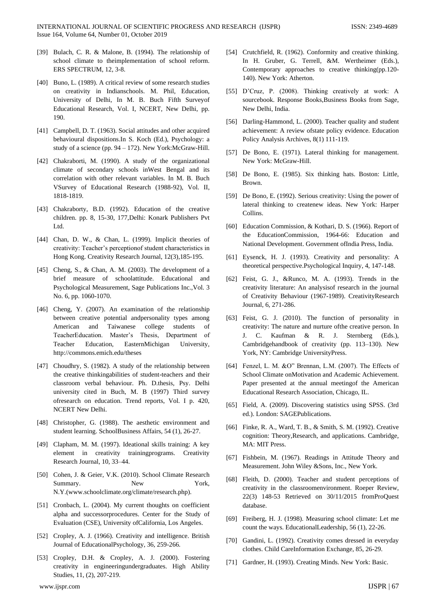- [39] Bulach, C. R. & Malone, B. (1994). The relationship of school climate to theimplementation of school reform. ERS SPECTRUM, 12, 3-8.
- [40] Buno, L. (1989). A critical review of some research studies on creativity in Indianschools. M. Phil, Education, University of Delhi, In M. B. Buch Fifth Surveyof Educational Research, Vol. I, NCERT, New Delhi, pp. 190.
- [41] Campbell, D. T. (1963). Social attitudes and other acquired behavioural dispositions.In S. Koch (Ed.), Psychology: a study of a science (pp. 94 – 172). New York:McGraw-Hill.
- [42] Chakraborti, M. (1990). A study of the organizational climate of secondary schools inWest Bengal and its correlation with other relevant variables. In M. B. Buch VSurvey of Educational Research (1988-92), Vol. II, 1818-1819.
- [43] Chakraborty, B.D. (1992). Education of the creative children. pp. 8, 15-30, 177,Delhi: Konark Publishers Pvt Ltd.
- [44] Chan, D. W., & Chan, L. (1999). Implicit theories of creativity: Teacher's perceptionof student characteristics in Hong Kong. Creativity Research Journal, 12(3),185-195.
- [45] Cheng, S., & Chan, A. M. (2003). The development of a brief measure of schoolattitude. Educational and Psychological Measurement, Sage Publications Inc.,Vol. 3 No. 6, pp. 1060-1070.
- [46] Cheng, Y. (2007). An examination of the relationship between creative potential andpersonality types among American and Taiwanese college students of TeacherEducation. Master's Thesis, Department of Teacher Education, EasternMichigan University, http://commons.emich.edu/theses
- [47] Choudhry, S. (1982). A study of the relationship between the creative thinkingabilities of student-teachers and their classroom verbal behaviour. Ph. D.thesis, Psy. Delhi university cited in Buch, M. B (1997) Third survey ofresearch on education. Trend reports, Vol. I p. 420, NCERT New Delhi.
- [48] Christopher, G. (1988). The aesthetic environment and student learning. SchoolBusiness Affairs, 54 (1), 26-27.
- [49] Clapham, M. M. (1997). Ideational skills training: A key element in creativity trainingprograms. Creativity Research Journal, 10, 33–44.
- [50] Cohen, J. & Geier, V.K. (2010). School Climate Research Summary. New York, N.Y.(www.schoolclimate.org/climate/research.php).
- [51] Cronbach, L. (2004). My current thoughts on coefficient alpha and successorprocedures. Center for the Study of Evaluation (CSE), University ofCalifornia, Los Angeles.
- [52] Cropley, A. J. (1966). Creativity and intelligence. British Journal of EducationalPsychology, 36, 259-266.
- [53] Cropley, D.H. & Cropley, A. J. (2000). Fostering creativity in engineeringundergraduates. High Ability Studies, 11, (2), 207-219.
- [54] Crutchfield, R. (1962). Conformity and creative thinking. In H. Gruber, G. Terrell, &M. Wertheimer (Eds.), Contemporary approaches to creative thinking(pp.120- 140). New York: Atherton.
- [55] D'Cruz, P. (2008). Thinking creatively at work: A sourcebook. Response Books,Business Books from Sage, New Delhi, India.
- [56] Darling-Hammond, L. (2000). Teacher quality and student achievement: A review ofstate policy evidence. Education Policy Analysis Archives, 8(1) 111-119.
- [57] De Bono, E. (1971). Lateral thinking for management. New York: McGraw-Hill.
- [58] De Bono, E. (1985). Six thinking hats. Boston: Little, Brown.
- [59] De Bono, E. (1992). Serious creativity: Using the power of lateral thinking to createnew ideas. New York: Harper Collins.
- [60] Education Commission, & Kothari, D. S. (1966). Report of the EducationCommission, 1964-66: Education and National Development. Government ofIndia Press, India.
- [61] Eysenck, H. J. (1993). Creativity and personality: A theoretical perspective.Psychological Inquiry, 4, 147-148.
- [62] Feist, G. J., &Runco, M. A. (1993). Trends in the creativity literature: An analysisof research in the journal of Creativity Behaviour (1967-1989). CreativityResearch Journal, 6, 271-286.
- [63] Feist, G. J. (2010). The function of personality in creativity: The nature and nurture ofthe creative person. In J. C. Kaufman & R. J. Sternberg (Eds.), Cambridgehandbook of creativity (pp. 113–130). New York, NY: Cambridge UniversityPress.
- [64] Fenzel, L. M. &O" Brennan, L.M. (2007). The Effects of School Climate onMotivation and Academic Achievement. Paper presented at the annual meetingof the American Educational Research Association, Chicago, IL.
- [65] Field, A. (2009). Discovering statistics using SPSS. (3rd ed.). London: SAGEPublications.
- [66] Finke, R. A., Ward, T. B., & Smith, S. M. (1992). Creative cognition: Theory,Research, and applications. Cambridge, MA: MIT Press.
- [67] Fishbein, M. (1967). Readings in Attitude Theory and Measurement. John Wiley &Sons, Inc., New York.
- [68] Fleith, D. (2000). Teacher and student perceptions of creativity in the classroomenvironment. Roeper Review, 22(3) 148-53 Retrieved on 30/11/2015 fromProQuest database.
- [69] Freiberg, H. J. (1998). Measuring school climate: Let me count the ways. EducationalLeadership, 56 (1), 22-26.
- [70] Gandini, L. (1992). Creativity comes dressed in everyday clothes. Child CareInformation Exchange, 85, 26-29.
- [71] Gardner, H. (1993). Creating Minds. New York: Basic.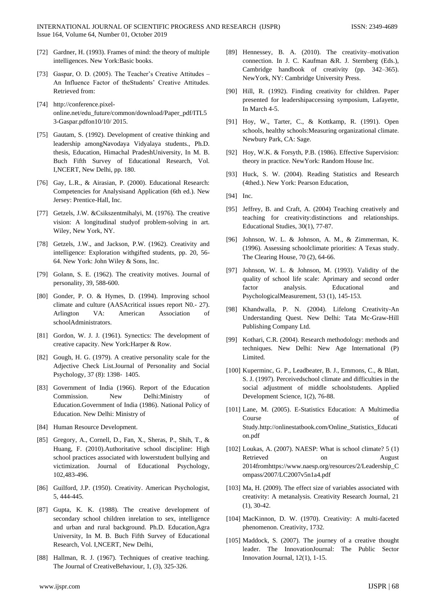- [72] Gardner, H. (1993). Frames of mind: the theory of multiple intelligences. New York:Basic books.
- [73] Gaspar, O. D. (2005). The Teacher's Creative Attitudes An Influence Factor of theStudents' Creative Attitudes. Retrieved from:
- [74] http://conference.pixelonline.net/edu\_future/common/download/Paper\_pdf/ITL5 3-Gaspar.pdfon10/10/ 2015.
- [75] Gautam, S. (1992). Development of creative thinking and leadership amongNavodaya Vidyalaya students., Ph.D. thesis, Education, Himachal PradeshUniversity, In M. B. Buch Fifth Survey of Educational Research, Vol. I,NCERT, New Delhi, pp. 180.
- [76] Gay, L.R., & Airasian, P. (2000). Educational Research: Competencies for Analysisand Application (6th ed.). New Jersey: Prentice-Hall, Inc.
- [77] Getzels, J.W. &Csikszentmihalyi, M. (1976). The creative vision: A longitudinal studyof problem-solving in art. Wiley, New York, NY.
- [78] Getzels, J.W., and Jackson, P.W. (1962). Creativity and intelligence: Exploration withgifted students, pp. 20, 56- 64. New York: John Wiley & Sons, Inc.
- [79] Golann, S. E. (1962). The creativity motives. Journal of personality, 39, 588-600.
- [80] Gonder, P. O. & Hymes, D. (1994). Improving school climate and culture (AASAcritical issues report N0.- 27). Arlington VA: American Association of schoolAdministrators.
- [81] Gordon, W. J. J. (1961). Synectics: The development of creative capacity. New York:Harper & Row.
- [82] Gough, H. G. (1979). A creative personality scale for the Adjective Check List.Journal of Personality and Social Psychology, 37 (8): 1398‐ 1405.
- [83] Government of India (1966). Report of the Education Commission. New Delhi:Ministry of Education.Government of India (1986). National Policy of Education. New Delhi: Ministry of
- [84] Human Resource Development.
- [85] Gregory, A., Cornell, D., Fan, X., Sheras, P., Shih, T., & Huang, F. (2010).Authoritative school discipline: High school practices associated with lowerstudent bullying and victimization. Journal of Educational Psychology, 102,483-496.
- [86] Guilford, J.P. (1950). Creativity. American Psychologist, 5, 444-445.
- [87] Gupta, K. K. (1988). The creative development of secondary school children inrelation to sex, intelligence and urban and rural background. Ph.D. Education,Agra University, In M. B. Buch Fifth Survey of Educational Research, Vol. I,NCERT, New Delhi,
- [88] Hallman, R. J. (1967). Techniques of creative teaching. The Journal of CreativeBehaviour, 1, (3), 325-326.
- www.ijspr.com IJSPR | 68
- [89] Hennessey, B. A. (2010). The creativity–motivation connection. In J. C. Kaufman &R. J. Sternberg (Eds.), Cambridge handbook of creativity (pp. 342–365). NewYork, NY: Cambridge University Press.
- [90] Hill, R. (1992). Finding creativity for children. Paper presented for leadershipaccessing symposium, Lafayette, In March 4-5.
- [91] Hoy, W., Tarter, C., & Kottkamp, R. (1991). Open schools, healthy schools:Measuring organizational climate. Newbury Park, CA: Sage.
- [92] Hoy, W.K. & Forsyth, P.B. (1986). Effective Supervision: theory in practice. NewYork: Random House Inc.
- [93] Huck, S. W. (2004). Reading Statistics and Research (4thed.). New York: Pearson Education,
- [94] Inc.
- [95] Jeffrey, B. and Craft, A. (2004) Teaching creatively and teaching for creativity:distinctions and relationships. Educational Studies, 30(1), 77-87.
- [96] Johnson, W. L. & Johnson, A. M., & Zimmerman, K. (1996). Assessing schoolclimate priorities: A Texas study. The Clearing House, 70 (2), 64-66.
- [97] Johnson, W. L. & Johnson, M. (1993). Validity of the quality of school life scale: Aprimary and second order factor analysis. Educational and PsychologicalMeasurement, 53 (1), 145-153.
- [98] Khandwalla, P. N. (2004). Lifelong Creativity-An Understanding Quest. New Delhi: Tata Mc-Graw-Hill Publishing Company Ltd.
- [99] Kothari, C.R. (2004). Research methodology: methods and techniques. New Delhi: New Age International (P) Limited.
- [100] Kuperminc, G. P., Leadbeater, B. J., Emmons, C., & Blatt, S. J. (1997). Perceivedschool climate and difficulties in the social adjustment of middle schoolstudents. Applied Development Science, 1(2), 76-88.
- [101] Lane, M. (2005). E-Statistics Education: A Multimedia Course of Study.http://onlinestatbook.com/Online\_Statistics\_Educati on.pdf
- [102] Loukas, A. (2007). NAESP: What is school climate? 5 (1) Retrieved on August 2014fromhttps://www.naesp.org/resources/2/Leadership\_C ompass/2007/LC2007v5n1a4.pdf
- [103] Ma, H. (2009). The effect size of variables associated with creativity: A metanalysis. Creativity Research Journal, 21 (1), 30-42.
- [104] MacKinnon, D. W. (1970). Creativity: A multi-faceted phenomenon. Creativity, 1732.
- [105] Maddock, S. (2007). The journey of a creative thought leader. The InnovationJournal: The Public Sector Innovation Journal, 12(1), 1-15.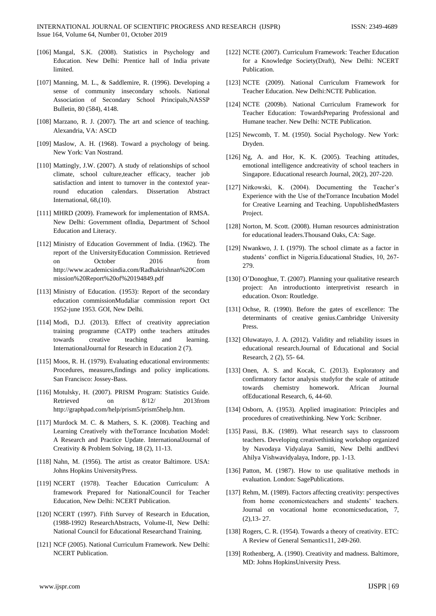- [106] Mangal, S.K. (2008). Statistics in Psychology and Education. New Delhi: Prentice hall of India private limited.
- [107] Manning, M. L., & Saddlemire, R. (1996). Developing a sense of community insecondary schools. National Association of Secondary School Principals,NASSP Bulletin, 80 (584), 4148.
- [108] Marzano, R. J. (2007). The art and science of teaching. Alexandria, VA: ASCD
- [109] Maslow, A. H. (1968). Toward a psychology of being. New York: Van Nostrand.
- [110] Mattingly, J.W. (2007). A study of relationships of school climate, school culture,teacher efficacy, teacher job satisfaction and intent to turnover in the contextof yearround education calendars. Dissertation Abstract International, 68,(10).
- [111] MHRD (2009). Framework for implementation of RMSA. New Delhi: Government ofIndia, Department of School Education and Literacy.
- [112] Ministry of Education Government of India. (1962). The report of the UniversityEducation Commission. Retrieved on October 2016 from http://www.academicsindia.com/Radhakrishnan%20Com mission%20Report%20of%20194849.pdf
- [113] Ministry of Education. (1953): Report of the secondary education commissionMudaliar commission report Oct 1952-june 1953. GOI, New Delhi.
- [114] Modi, D.J. (2013). Effect of creativity appreciation training programme (CATP) onthe teachers attitudes towards creative teaching and learning. InternationalJournal for Research in Education 2 (7).
- [115] Moos, R. H. (1979). Evaluating educational environments: Procedures, measures,findings and policy implications. San Francisco: Jossey-Bass.
- [116] Motulsky, H. (2007). PRISM Program: Statistics Guide. Retrieved on  $8/12/$  2013from http://graphpad.com/help/prism5/prism5help.htm.
- [117] Murdock M. C. & Mathers, S. K. (2008). Teaching and Learning Creatively with theTorrance Incubation Model: A Research and Practice Update. InternationalJournal of Creativity & Problem Solving, 18 (2), 11-13.
- [118] Nahn, M. (1956). The artist as creator Baltimore. USA: Johns Hopkins UniversityPress.
- [119] NCERT (1978). Teacher Education Curriculum: A framework Prepared for NationalCouncil for Teacher Education, New Delhi: NCERT Publication.
- [120] NCERT (1997). Fifth Survey of Research in Education, (1988-1992) ResearchAbstracts, Volume-II, New Delhi: National Council for Educational Researchand Training.
- [121] NCF (2005). National Curriculum Framework. New Delhi: NCERT Publication.
- [122] NCTE (2007). Curriculum Framework: Teacher Education for a Knowledge Society(Draft), New Delhi: NCERT Publication.
- [123] NCTE (2009). National Curriculum Framework for Teacher Education. New Delhi:NCTE Publication.
- [124] NCTE (2009b). National Curriculum Framework for Teacher Education: TowardsPreparing Professional and Humane teacher. New Delhi: NCTE Publication.
- [125] Newcomb, T. M. (1950). Social Psychology. New York: Dryden.
- [126] Ng, A. and Hor, K. K. (2005). Teaching attitudes, emotional intelligence andcreativity of school teachers in Singapore. Educational research Journal, 20(2), 207-220.
- [127] Nitkowski, K. (2004). Documenting the Teacher's Experience with the Use of theTorrance Incubation Model for Creative Learning and Teaching. UnpublishedMasters Project.
- [128] Norton, M. Scott. (2008). Human resources administration for educational leaders.Thousand Oaks, CA: Sage.
- [129] Nwankwo, J. I. (1979). The school climate as a factor in students' conflict in Nigeria.Educational Studies, 10, 267- 279.
- [130] O'Donoghue, T. (2007). Planning your qualitative research project: An introductionto interpretivist research in education. Oxon: Routledge.
- [131] Ochse, R. (1990). Before the gates of excellence: The determinants of creative genius.Cambridge University Press.
- [132] Oluwatayo, J. A. (2012). Validity and reliability issues in educational research.Journal of Educational and Social Research, 2 (2), 55- 64.
- [133] Onen, A. S. and Kocak, C. (2013). Exploratory and confirmatory factor analysis studyfor the scale of attitude towards chemistry homework. African Journal ofEducational Research, 6, 44-60.
- [134] Osborn, A. (1953). Applied imagination: Principles and procedures of creativethinking. New York: Scribner.
- [135] Passi, B.K. (1989). What research says to classroom teachers. Developing creativethinking workshop organized by Navodaya Vidyalaya Samiti, New Delhi andDevi Ahilya Vishwavidyalaya, Indore, pp. 1-13.
- [136] Patton, M. (1987). How to use qualitative methods in evaluation. London: SagePublications.
- [137] Rehm, M. (1989). Factors affecting creativity: perspectives from home economicsteachers and students' teachers. Journal on vocational home economicseducation, 7,  $(2), 13 - 27.$
- [138] Rogers, C. R. (1954). Towards a theory of creativity. ETC: A Review of General Semantics11, 249-260.
- [139] Rothenberg, A. (1990). Creativity and madness. Baltimore, MD: Johns HopkinsUniversity Press.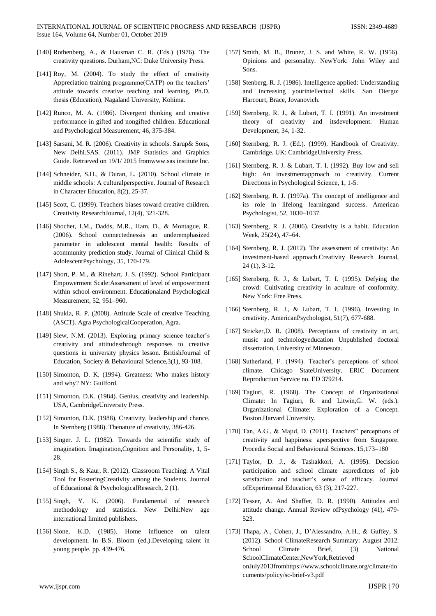- [140] Rothenberg, A., & Hausman C. R. (Eds.) (1976). The creativity questions. Durham,NC: Duke University Press.
- [141] Roy, M. (2004). To study the effect of creativity Appreciation training programme(CATP) on the teachers' attitude towards creative teaching and learning. Ph.D. thesis (Education), Nagaland University, Kohima.
- [142] Runco, M. A. (1986). Divergent thinking and creative performance in gifted and nongifted children. Educational and Psychological Measurement, 46, 375-384.
- [143] Sarsani, M. R. (2006). Creativity in schools. Sarup& Sons, New Delhi.SAS. (2011). JMP Statistics and Graphics Guide. Retrieved on 19/1/ 2015 fromwww.sas institute Inc.
- [144] Schneider, S.H., & Duran, L. (2010). School climate in middle schools: A culturalperspective. Journal of Research in Character Education, 8(2), 25-37.
- [145] Scott, C. (1999). Teachers biases toward creative children. Creativity ResearchJournal, 12(4), 321-328.
- [146] Shochet, I.M., Dadds, M.R., Ham, D., & Montague, R. (2006). School connectednessis an underemphasized parameter in adolescent mental health: Results of acommunity prediction study. Journal of Clinical Child & AdolescentPsychology, 35, 170-179.
- [147] Short, P. M., & Rinehart, J. S. (1992). School Participant Empowerment Scale:Assessment of level of empowerment within school environment. Educationaland Psychological Measurement, 52, 951–960.
- [148] Shukla, R. P. (2008). Attitude Scale of creative Teaching (ASCT). Agra PsychologicalCooperation, Agra.
- [149] Siew, N.M. (2013). Exploring primary science teacher's creativity and attitudesthrough responses to creative questions in university physics lesson. BritishJournal of Education, Society & Behavioural Science,3(1), 93-108.
- [150] Simonton, D. K. (1994). Greatness: Who makes history and why? NY: Guilford.
- [151] Simonton, D.K. (1984). Genius, creativity and leadership. USA, CambridgeUniversity Press.
- [152] Simonton, D.K. (1988). Creativity, leadership and chance. In Sternberg (1988). Thenature of creativity, 386-426.
- [153] Singer. J. L. (1982). Towards the scientific study of imagination. Imagination,Cognition and Personality, 1, 5- 28.
- [154] Singh S., & Kaur, R. (2012). Classroom Teaching: A Vital Tool for FosteringCreativity among the Students. Journal of Educational & PsychologicalResearch, 2 (1).
- [155] Singh, Y. K. (2006). Fundamental of research methodology and statistics. New Delhi:New age international limited publishers.
- [156] Slone, K.D. (1985). Home influence on talent development. In B.S. Bloom (ed.).Developing talent in young people. pp. 439-476.
- [157] Smith, M. B., Bruner, J. S. and White, R. W. (1956). Opinions and personality. NewYork: John Wiley and Sons.
- [158] Stenberg, R. J. (1986). Intelligence applied: Understanding and increasing yourintellectual skills. San Diergo: Harcourt, Brace, Jovanovich.
- [159] Sternberg, R. J., & Lubart, T. I. (1991). An investment theory of creativity and itsdevelopment. Human Development, 34, 1-32.
- [160] Sternberg, R. J. (Ed.). (1999). Handbook of Creativity. Cambridge. UK: CambridgeUniversity Press.
- [161] Sternberg, R. J. & Lubart, T. I. (1992). Buy low and sell high: An investmentapproach to creativity. Current Directions in Psychological Science, 1, 1-5.
- [162] Sternberg, R. J. (1997a). The concept of intelligence and its role in lifelong learningand success. American Psychologist, 52, 1030–1037.
- [163] Sternberg, R. J. (2006). Creativity is a habit. Education Week, 25(24), 47–64.
- [164] Sternberg, R. J. (2012). The assessment of creativity: An investment-based approach.Creativity Research Journal, 24 (1), 3-12.
- [165] Sternberg, R. J., & Lubart, T. I. (1995). Defying the crowd: Cultivating creativity in aculture of conformity. New York: Free Press.
- [166] Sternberg, R. J., & Lubart, T. I. (1996). Investing in creativity. AmericanPsychologist, 51(7), 677-688.
- [167] Stricker,D. R. (2008). Perceptions of creativity in art, music and technologyeducation Unpublished doctoral dissertation, University of Minnesota.
- [168] Sutherland, F. (1994). Teacher's perceptions of school climate. Chicago StateUniversity. ERIC Document Reproduction Service no. ED 379214.
- [169] Tagiuri, R. (1968). The Concept of Organizational Climate: In Tagiuri, R. and Litwin,G. W. (eds.). Organizational Climate: Exploration of a Concept. Boston.Harvard University.
- [170] Tan, A.G., & Majid, D. (2011). Teachers" perceptions of creativity and happiness: aperspective from Singapore. Procedia Social and Behavioural Sciences. 15,173–180
- [171] Taylor, D. J., & Tashakkori, A. (1995). Decision participation and school climate aspredictors of job satisfaction and teacher's sense of efficacy. Journal ofExperimental Education, 63 (3), 217-227.
- [172] Tesser, A. And Shaffer, D. R. (1990). Attitudes and attitude change. Annual Review ofPsychology (41), 479- 523.
- [173] Thapa, A., Cohen, J., D'Alessandro, A.H., & Guffey, S. (2012). School ClimateResearch Summary: August 2012. School Climate Brief, (3) National SchoolClimateCenter,NewYork,Retrieved onJuly2013fromhttps://www.schoolclimate.org/climate/do cuments/policy/sc-brief-v3.pdf